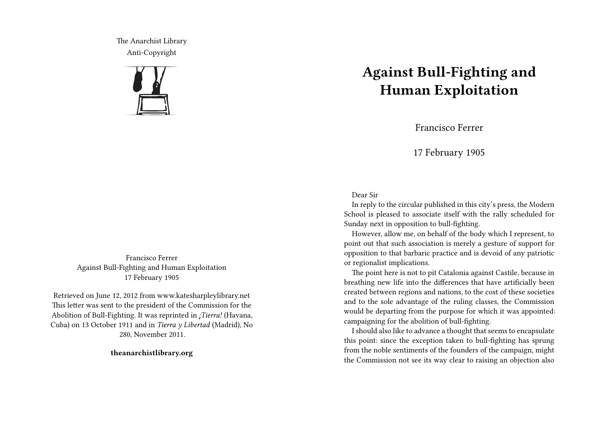The Anarchist Library Anti-Copyright



Francisco Ferrer Against Bull-Fighting and Human Exploitation 17 February 1905

Retrieved on June 12, 2012 from www.katesharpleylibrary.net This letter was sent to the president of the Commission for the Abolition of Bull-Fighting. It was reprinted in *¡Tierra!* (Havana, Cuba) on 13 October 1911 and in *Tierra y Libertad* (Madrid), No 280, November 2011.

**theanarchistlibrary.org**

## **Against Bull-Fighting and Human Exploitation**

Francisco Ferrer

17 February 1905

## Dear Sir

In reply to the circular published in this city's press, the Modern School is pleased to associate itself with the rally scheduled for Sunday next in opposition to bull-fighting.

However, allow me, on behalf of the body which I represent, to point out that such association is merely a gesture of support for opposition to that barbaric practice and is devoid of any patriotic or regionalist implications.

The point here is not to pit Catalonia against Castile, because in breathing new life into the differences that have artificially been created between regions and nations, to the cost of these societies and to the sole advantage of the ruling classes, the Commission would be departing from the purpose for which it was appointed: campaigning for the abolition of bull-fighting.

I should also like to advance a thought that seems to encapsulate this point: since the exception taken to bull-fighting has sprung from the noble sentiments of the founders of the campaign, might the Commission not see its way clear to raising an objection also